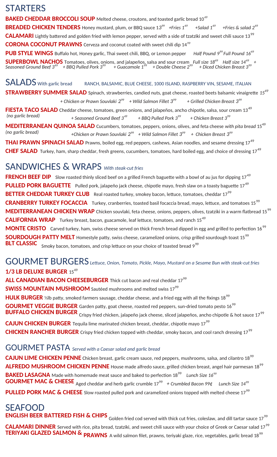### **STARTERS**

**BAKED CHEDDAR BROCCOLI SOUP** Melted cheese, croutons, and toasted garlic bread 10*<sup>49</sup>* **BREADED CHICKEN TENDERS** Honey mustard, plum, or BBQ sauce 13<sup>99</sup> +Fries 1 *<sup>49</sup>+Salad 1<sup>49</sup> +Fries & salad 2<sup>49</sup>* CALAMARI Lightly battered and golden fried with lemon pepper, served with a side of tzatziki and sweet chili sauce 13<sup>99</sup> **CORONA COCONUT PRAWNS** Cerveza and coconut coated with sweet chili dip 14*<sup>99</sup>* **PUB STYLE WINGS** Buffalo hot, Honey garlic, Thai sweet chili, BBQ, or Lemon pepper *Half Pound 9 <sup>99</sup>Full Pound 16<sup>49</sup>* **SUPERBOWL NACHOS** Tomatoes, olives, onions, and jalapeños, salsa and sour cream *Full size 18<sup>49</sup> Half size 14<sup>49</sup> at Seasoned Ground Beef 3<sup>49</sup> + BBQ Pulled Pork 3<sup>99</sup>+ Guacamole 1<sup>99</sup> + Double Cheese 2<sup>99</sup> + Diced Chicken Breast 3<sup>99</sup>*

SALADS with garlic bread RANCH, BALSAMIC, BLUE CHEESE, 1000 ISLAND, RASPBERRY VIN, SESAME, ITALIAN **STRAWBERRY SUMMER SALAD** Spinach, strawberries, candied nuts, goat cheese, roasted beets balsamic vinaigrette *15<sup>49</sup> + Chicken or Prawn Souvlaki 2 99 + Wild Salmon Fillet 3<sup>99</sup> + Grilled Chicken Breast 3<sup>99</sup>* **FIESTA TACO SALAD** Cheddar cheese, tomatoes, green onions, and jalapeños, ancho chipotle, salsa, sour cream 13<sup>49</sup><br>(no garlic bread) <br> $+$  Seasoned Ground Beef  $3^{49}$   $+$  BBO Pulled Pork  $3^{99}$   $+$  Chicken Breast  $3^{99}$  *(no garlic bread) + Seasoned Ground Beef 3<sup>49</sup> + BBQ Pulled Pork 3<sup>99</sup>+ Chicken Breast 3<sup>99</sup>* **MEDITERRANEAN QUINOA SALAD** Cucumbers, tomatoes, peppers, onions, olives, and feta cheese *with pita bread* 15<sup>49</sup> *(no garlic bread) +Chicken or Prawn Souvlaki 2<sup>99</sup> + Wild Salmon Fillet 3<sup>99</sup> + Chicken Breast 3<sup>99</sup>* THAI PRAWN SPINACH SALAD Prawns, boiled egg, red peppers, cashews, Asian noodles, and sesame dressing 17<sup>49</sup>

**CHEF SALAD** Turkey, ham, sharp cheddar, fresh greens, cucumbers, tomatoes, hard boiled egg, and choice of dressing 17<sup>49</sup>

### SANDWICHES & WRAPS *With steak-cut fries*

**FRENCH BEEF DIP** Slow roasted thinly sliced beef on a grilled French baguette with a bowl of au jus for dipping 17<sup>49</sup> **PULLED PORK BAGUETTE** Pulled pork, jalapeño jack cheese, chipotle mayo, fresh slaw on a toasty baguette 17<sup>49</sup> **BETTER CHEDDAR TURKEY CLUB** Real roasted turkey, smokey bacon, lettuce, tomatoes, cheddar 17<sup>99</sup> **CRANBERRY TURKEY FOCACCIA** Turkey, cranberries, toasted basil focaccia bread, mayo, lettuce, and tomatoes 15<sup>99</sup> MEDITERRANEAN CHICKEN WRAP Chicken souvlaki, feta cheese, onions, peppers, olives, tzatziki in a warm flatbread 15<sup>99</sup> **CALIFORNIA WRAP** Turkey breast, bacon, guacamole, leaf lettuce, tomatoes, and ranch 15<sup>49</sup> **MONTE CRISTO** Carved turkey, ham, swiss cheese served on thick French bread dipped in egg and grilled to perfection 16<sup>99</sup> **SOURDOUGH PATTY MELT** Homestyle patty, swiss cheese, caramelized onions, crisp grilled sourdough toast 15<sup>99</sup> **BLT CLASSIC** Smoky bacon, tomatoes, and crisp lettuce on your choice of toasted bread 9<sup>99</sup>

#### GOURMET BURGERS *Lettuce, Onion, Tomato, Pickle, Mayo, Mustard on a Sesame Bun with steak-cut fries* **1/3 LB DELUXE BURGER 15<sup>49</sup>**

**ALL CANADIAN BACON CHEESEBURGER** Thick cut bacon and real cheddar 17<sup>99</sup>

**SWISS MOUNTAIN MUSHROOM** Sautéed mushrooms and melted swiss 17<sup>99</sup>

**HULK BURGER** ⅓lb patty, smoked farmers sausage, cheddar cheese, and a fried egg with all the fixings 18<sup>99</sup> **GOURMET VEGGIE BURGER** Garden patty, goat cheese, roasted red peppers, sun-dried tomato pesto 16<sup>99</sup> **BUFFALO CHICKEN BURGER** Crispy fried chicken, jalapeño jack cheese, sliced jalapeños, ancho chipotle & hot sauce 17<sup>99</sup> **CAJUN CHICKEN BURGER** Tequila lime marinated chicken breast, cheddar, chipotle mayo 17<sup>99</sup> **CHICKEN RANCHER BURGER** Crispy fried chicken topped with cheddar, smoky bacon, and cool ranch dressing 17<sup>99</sup>

### GOURMET PASTA *Served with a Caesar salad and garlic bread*

**CAJUN LIME CHICKEN PENNE** Chicken breast, garlic cream sauce, red peppers, mushrooms, salsa, and cilantro 18<sup>99</sup> ALFREDO MUSHROOM CHICKEN PENNE House made alfredo sauce, grilled chicken breast, angel hair parmesan 18<sup>99</sup> **BAKED LASAGNA** Made with homemade meat sauce and baked to perfection 18<sup>99</sup> Lunch Size 16<sup>99</sup> **GOURMET MAC & CHEESE** Aged cheddar and herb garlic crumble 17<sup>99</sup> + Crumbled Bacon 99¢ *Lunch Size* 14<sup>99</sup>

PULLED PORK MAC & CHEESE Slow roasted pulled pork and caramelized onions topped with melted cheese 17<sup>99</sup>

## SEAFOOD

**ENGLISH BEER BATTERED FISH & CHIPS** <sub>Golden</sub> fried cod served with thick cut fries, coleslaw, and dill tartar sauce 17<sup>99</sup> **CALAMARI DINNER** Served with rice, pita bread, tzatziki, and sweet chili sauce with your choice of Greek or Caesar salad 17<sup>99</sup> **TERIYAKI GLAZED SALMON & PRAWNS** A wild salmon filet, prawns, teriyaki glaze, rice, vegetables, garlic bread 18<sup>99</sup>